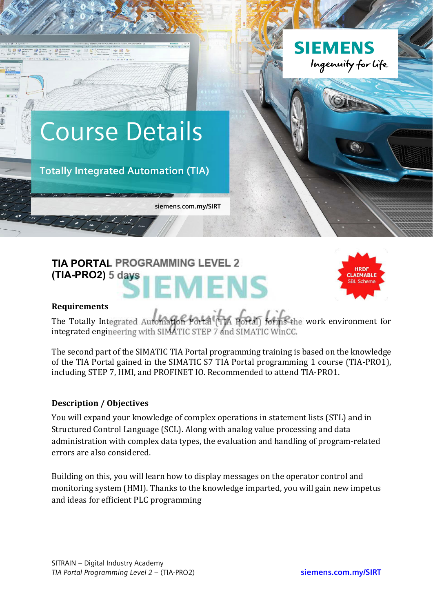

# **TIA PORTAL PROGRAMMING LEVEL 2 (TIA-PRO2) 5 days** EMENS



#### **Requirements**

The Totally Integrated Automation Portal (TIA Portal) forms the work environment for integrated engineering with SIMATIC STEP 7 and SIMATIC WinCC.

The second part of the SIMATIC TIA Portal programming training is based on the knowledge of the TIA Portal gained in the SIMATIC S7 TIA Portal programming 1 course (TIA-PRO1). including STEP 7, HMI, and PROFINET IO. Recommended to attend TIA-PRO1.

## **Description / Objectives**

You will expand your knowledge of complex operations in statement lists (STL) and in Structured Control Language (SCL). Along with analog value processing and data administration with complex data types, the evaluation and handling of program-related errors are also considered.

Building on this, you will learn how to display messages on the operator control and monitoring system (HMI). Thanks to the knowledge imparted, you will gain new impetus and ideas for efficient PLC programming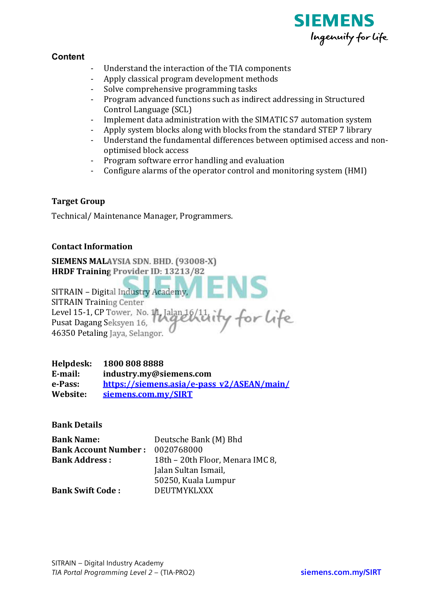

## **Content**

- Understand the interaction of the TIA components
- Apply classical program development methods
- Solve comprehensive programming tasks
- Program advanced functions such as indirect addressing in Structured Control Language (SCL)
- Implement data administration with the SIMATIC S7 automation system
- Apply system blocks along with blocks from the standard STEP 7 library
- Understand the fundamental differences between optimised access and nonoptimised block access
- Program software error handling and evaluation
- Configure alarms of the operator control and monitoring system (HMI)

## **Target Group**

Technical/Maintenance Manager, Programmers.

#### **Contact Information**

SIEMENS MALAYSIA SDN. BHD. (93008-X) HRDF Training Provider ID: 13213/82

SITRAIN - Digital Industry Academy, **SITRAIN Training Center** Level 15-1, CP Tower, No. 11, Jalan 16/11, Pusat Dagang Seksyen 16, 46350 Petaling Jaya, Selangor.

Helpdesk: 1800 808 8888 E-mail: industry.my@siemens.com e-Pass: https://siemens.asia/e-pass\_v2/ASEAN/main/ Website: siemens.com.mv/SIRT

**Bank Details** 

| <b>Bank Name:</b>           | Deutsche Bank (M) Bhd            |
|-----------------------------|----------------------------------|
| <b>Bank Account Number:</b> | 0020768000                       |
| <b>Bank Address:</b>        | 18th - 20th Floor, Menara IMC 8, |
|                             | Jalan Sultan Ismail,             |
|                             | 50250, Kuala Lumpur              |
| <b>Bank Swift Code:</b>     | <b>DEUTMYKLXXX</b>               |